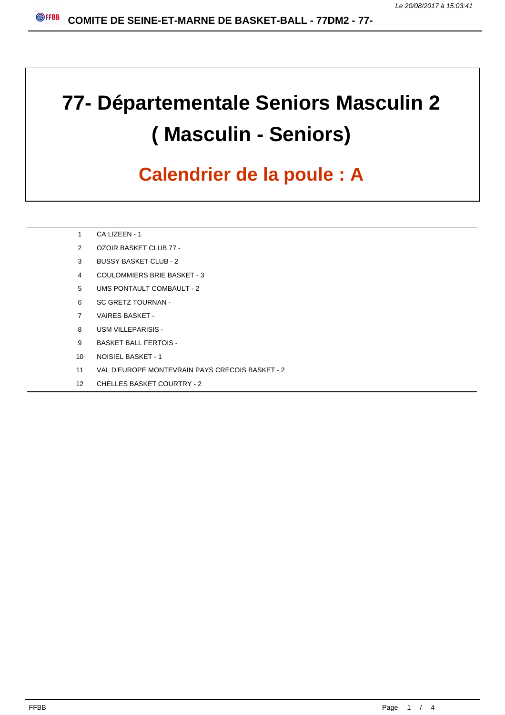# **77- Départementale Seniors Masculin 2 ( Masculin - Seniors)**

### **Calendrier de la poule : A**

- CA LIZEEN 1
- OZOIR BASKET CLUB 77 -
- BUSSY BASKET CLUB 2
- COULOMMIERS BRIE BASKET 3
- UMS PONTAULT COMBAULT 2
- SC GRETZ TOURNAN -
- VAIRES BASKET -
- USM VILLEPARISIS -
- BASKET BALL FERTOIS -
- NOISIEL BASKET 1
- VAL D'EUROPE MONTEVRAIN PAYS CRECOIS BASKET 2
- CHELLES BASKET COURTRY 2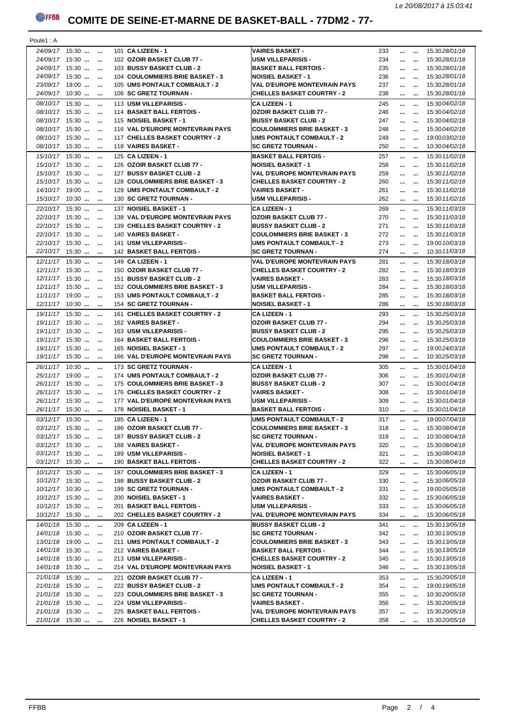#### **COMITE DE SEINE-ET-MARNE DE BASKET-BALL - 77DM2 - 77-**

| Poule1 : A     |                    |  |                                  |                                     |     |                                                         |                   |                                 |
|----------------|--------------------|--|----------------------------------|-------------------------------------|-----|---------------------------------------------------------|-------------------|---------------------------------|
|                | 24/09/17 15:30     |  | 101 CA LIZEEN - 1                | <b>VAIRES BASKET -</b>              | 233 | $\cdots$                                                |                   | 15:3028/01/18                   |
|                | 24/09/17 15:30     |  | 102 OZOIR BASKET CLUB 77 -       | <b>USM VILLEPARISIS -</b>           | 234 | $\mathbf{a}$ and $\mathbf{a}$                           | $\cdots$          | 15:3028/01/18                   |
|                | 24/09/17 15:30     |  |                                  | <b>BASKET BALL FERTOIS -</b>        | 235 |                                                         |                   | 15:3028/01/18                   |
|                |                    |  | 103 BUSSY BASKET CLUB - 2        |                                     |     | $\sim 10^{-10}$                                         | $\cdots$          |                                 |
|                | 24/09/17 15:30     |  | 104 COULOMMIERS BRIE BASKET - 3  | <b>NOISIEL BASKET - 1</b>           | 236 | $\mathbf{r}$ and $\mathbf{r}$ and $\mathbf{r}$          |                   | 15:3028/01/18                   |
|                | 23/09/17 19:00     |  | 105 UMS PONTAULT COMBAULT - 2    | <b>VAL D'EUROPE MONTEVRAIN PAYS</b> | 237 | $\sim 10^{-10}$                                         | $\cdots$          | 15:3028/01/18                   |
|                | 24/09/17 10:30     |  | 106 SC GRETZ TOURNAN -           | <b>CHELLES BASKET COURTRY - 2</b>   | 238 | $\cdots$                                                | $\sim$            | 15:3028/01/18                   |
|                | $08/10/17$ 15:30   |  | 113 USM VILLEPARISIS -           | <b>CA LIZEEN - 1</b>                | 245 | $\cdots$                                                |                   | 15:30 04/02/18                  |
|                | $08/10/17$ 15:30   |  | 114 BASKET BALL FERTOIS -        | <b>OZOIR BASKET CLUB 77 -</b>       | 246 | $\mathbf{r}$ and $\mathbf{r}$ and $\mathbf{r}$          |                   | 15:30 04/02/18                  |
|                |                    |  |                                  |                                     |     |                                                         |                   |                                 |
|                | 08/10/17 15:30     |  | 115 NOISIEL BASKET - 1           | <b>BUSSY BASKET CLUB - 2</b>        | 247 | $\mathbf{r}$ and $\mathbf{r}$                           | $\cdots$          | 15:30 04/02/18                  |
|                | 08/10/17 15:30     |  | 116 VAL D'EUROPE MONTEVRAIN PAYS | <b>COULOMMIERS BRIE BASKET - 3</b>  | 248 |                                                         |                   | 15:30 04/02/18                  |
|                | 08/10/17 15:30     |  | 117 CHELLES BASKET COURTRY - 2   | <b>UMS PONTAULT COMBAULT - 2</b>    | 249 | $\mathbf{r}$ and $\mathbf{r}$ and $\mathbf{r}$          |                   | 19:00 03/02/18                  |
|                | 08/10/17 15:30     |  | 118 VAIRES BASKET -              | <b>SC GRETZ TOURNAN -</b>           | 250 | $\cdots$                                                |                   | 10:30 04/02/18                  |
|                | 15/10/17 15:30     |  | 125 CA LIZEEN - 1                | <b>BASKET BALL FERTOIS -</b>        | 257 | $\mathbf{m} = \mathbf{m}$ .                             |                   | 15:30 11/02/18                  |
|                | 15/10/17 15:30     |  | 126 OZOIR BASKET CLUB 77 -       | <b>NOISIEL BASKET - 1</b>           | 258 | $\mathbf{r}$ and $\mathbf{r}$ and $\mathbf{r}$          |                   | 15:30 11/02/18                  |
|                |                    |  |                                  |                                     | 259 |                                                         |                   |                                 |
|                | 15/10/17 15:30     |  | 127 BUSSY BASKET CLUB - 2        | <b>VAL D'EUROPE MONTEVRAIN PAYS</b> |     | $\mathbf{m} = \mathbf{m}$                               |                   | 15:30 11/02/18                  |
|                | 15/10/17 15:30     |  | 128 COULOMMIERS BRIE BASKET - 3  | <b>CHELLES BASKET COURTRY - 2</b>   | 260 | $\mathbf{m} = 0$ and                                    |                   | 15:30 11/02/18                  |
|                | 14/10/17 19:00     |  | 129 UMS PONTAULT COMBAULT - 2    | <b>VAIRES BASKET -</b>              | 261 | $\cdots$                                                | $\ddotsc$         | 15:30 11/02/18                  |
|                | 15/10/17 10:30     |  | 130 SC GRETZ TOURNAN -           | <b>USM VILLEPARISIS -</b>           | 262 | $\mathbf{r}$ and $\mathbf{r}$ and $\mathbf{r}$          |                   | 15:30 11/02/18                  |
|                | 22/10/17 15:30     |  | 137 NOISIEL BASKET - 1           | <b>CA LIZEEN - 1</b>                | 269 | $\cdots$                                                |                   | 15:30 11/03/18                  |
|                | 22/10/17 15:30     |  | 138 VAL D'EUROPE MONTEVRAIN PAYS | <b>OZOIR BASKET CLUB 77 -</b>       | 270 |                                                         |                   |                                 |
|                |                    |  |                                  |                                     |     | $\cdots$ $\cdots$                                       |                   | 15:30 11/03/18                  |
|                | $22/10/17$ 15:30   |  | 139 CHELLES BASKET COURTRY - 2   | <b>BUSSY BASKET CLUB - 2</b>        | 271 |                                                         |                   | 15:30 11/03/18                  |
|                | 22/10/17 15:30     |  | 140 VAIRES BASKET -              | <b>COULOMMIERS BRIE BASKET - 3</b>  | 272 | $\mathbf{m} = \mathbf{m}$                               |                   | 15:30 11/03/18                  |
|                | 22/10/17 15:30     |  | 141 USM VILLEPARISIS -           | <b>UMS PONTAULT COMBAULT - 2</b>    | 273 | $\sim 10^{-10}$                                         | $\cdots$          | 19:00 10/03/18                  |
|                | 22/10/17 15:30     |  | 142 BASKET BALL FERTOIS -        | <b>SC GRETZ TOURNAN -</b>           | 274 |                                                         |                   | 10:30 11/03/18                  |
|                | $12/11/17$ $15:30$ |  | 149 CA LIZEEN - 1                | VAL D'EUROPE MONTEVRAIN PAYS        | 281 | $\cdots$                                                |                   | 15:30 18/03/18                  |
|                | 12/11/17 15:30     |  |                                  |                                     | 282 |                                                         |                   | 15:30 18/03/18                  |
|                |                    |  | 150 OZOIR BASKET CLUB 77 -       | <b>CHELLES BASKET COURTRY - 2</b>   |     | $\mathbf{r}$ and $\mathbf{r}$ and $\mathbf{r}$          |                   |                                 |
|                | 12/11/17 15:30     |  | 151 BUSSY BASKET CLUB - 2        | <b>VAIRES BASKET -</b>              | 283 | $\cdots$ $\cdots$                                       |                   | 15:30 18/03/18                  |
|                | 12/11/17 15:30     |  | 152 COULOMMIERS BRIE BASKET - 3  | <b>USM VILLEPARISIS -</b>           | 284 | $\mathbf{r}$ and $\mathbf{r}$ and $\mathbf{r}$          |                   | 15:30 18/03/18                  |
|                | 11/11/17 19:00     |  | 153 UMS PONTAULT COMBAULT - 2    | <b>BASKET BALL FERTOIS -</b>        | 285 | $\mathbf{r}$ and $\mathbf{r}$ and $\mathbf{r}$          |                   | 15:30 18/03/18                  |
|                | $12/11/17$ 10:30   |  | 154 SC GRETZ TOURNAN -           | <b>NOISIEL BASKET - 1</b>           | 286 | $\sim 10^{-10}$                                         | $\cdots$          | 15:30 18/03/18                  |
|                | 19/11/17 15:30     |  | 161 CHELLES BASKET COURTRY - 2   | <b>CA LIZEEN - 1</b>                | 293 |                                                         |                   | 15:3025/03/18                   |
|                |                    |  |                                  |                                     |     | $\mathbf{m} = \mathbf{m}$                               |                   |                                 |
|                | 19/11/17 15:30     |  | 162 VAIRES BASKET -              | <b>OZOIR BASKET CLUB 77 -</b>       | 294 |                                                         |                   | 15:3025/03/18                   |
|                | 19/11/17 15:30     |  | 163 USM VILLEPARISIS -           | <b>BUSSY BASKET CLUB - 2</b>        | 295 | $\cdots$ $\cdots$                                       |                   | 15:3025/03/18                   |
|                | 19/11/17 15:30     |  | 164 BASKET BALL FERTOIS -        | <b>COULOMMIERS BRIE BASKET - 3</b>  | 296 | $\sim 10^{-10}$                                         | $\cdots$          | 15:3025/03/18                   |
|                | 19/11/17 15:30     |  | 165 NOISIEL BASKET - 1           | <b>UMS PONTAULT COMBAULT - 2</b>    | 297 | $\cdots$                                                | $\sim$            | 19:0024/03/18                   |
|                | 19/11/17 15:30     |  | 166 VAL D'EUROPE MONTEVRAIN PAYS | <b>SC GRETZ TOURNAN -</b>           | 298 | $\mathbf{r}$ and $\mathbf{r}$ and $\mathbf{r}$          |                   | 10:3025/03/18                   |
|                | 26/11/17 10:30     |  | 173 SC GRETZ TOURNAN -           | <b>CA LIZEEN - 1</b>                | 305 |                                                         |                   |                                 |
|                |                    |  |                                  |                                     |     | $\cdots$                                                |                   | 15:30 01/04/18                  |
|                | 25/11/17 19:00     |  | 174 UMS PONTAULT COMBAULT - 2    | <b>OZOIR BASKET CLUB 77 -</b>       | 306 | $\cdots$                                                |                   | 15:30 01/04/18                  |
|                | 26/11/17 15:30     |  | 175 COULOMMIERS BRIE BASKET - 3  | <b>BUSSY BASKET CLUB - 2</b>        | 307 | $\mathbf{m} = \mathbf{m}$                               |                   | 15:30 01/04/18                  |
|                | 26/11/17 15:30     |  | 176 CHELLES BASKET COURTRY - 2   | <b>VAIRES BASKET -</b>              | 308 | $\cdots$                                                |                   | 15:30 01/04/18                  |
|                | $26/11/17$ 15:30   |  | 177 VAL D'EUROPE MONTEVRAIN PAYS | <b>USM VILLEPARISIS -</b>           | 309 | $\mathbf{m} = \mathbf{m}$                               |                   | 15:30 01/04/18                  |
|                | 26/11/17 15:30     |  | 178 NOISIEL BASKET - 1           | <b>BASKET BALL FERTOIS -</b>        | 310 | $\mathbf{m} = 0$ and                                    |                   | 15:30 01/04/18                  |
|                |                    |  |                                  | UMS PONTAULT COMBAULT - 2           | 317 |                                                         |                   | 19:00 07/04/18                  |
| 03/12/17 15:30 |                    |  | 185 CA LIZEEN - 1                |                                     |     | $\alpha\alpha\beta\gamma\gamma\gamma\gamma\alpha\gamma$ |                   |                                 |
|                | 03/12/17 15:30     |  | 186 OZOIR BASKET CLUB 77 -       | <b>COULOMMIERS BRIE BASKET - 3</b>  | 318 | $\cdots$ . $\cdots$                                     |                   | 15:30 08/04/18                  |
|                | $03/12/17$ 15:30   |  | 187 BUSSY BASKET CLUB - 2        | <b>SC GRETZ TOURNAN -</b>           | 319 | $\mathbf{r}$ and $\mathbf{r}$                           | $\cdots$          | 10:30 08/04/18                  |
|                | $03/12/17$ 15:30   |  | 188 VAIRES BASKET -              | <b>VAL D'EUROPE MONTEVRAIN PAYS</b> | 320 | $\ddotsc$                                               | $\cdots$          | 15:30 08/04/18                  |
|                | 03/12/17 15:30     |  | 189 USM VILLEPARISIS -           | <b>NOISIEL BASKET - 1</b>           | 321 | $\cdots$                                                | $\cdots$          | 15:30 08/04/18                  |
|                | $03/12/17$ 15:30   |  | 190 BASKET BALL FERTOIS -        | <b>CHELLES BASKET COURTRY - 2</b>   | 322 | $\sim 10^{-11}$                                         | $\cdots$          | 15:30 08/04/18                  |
|                |                    |  | 197 COULOMMIERS BRIE BASKET - 3  |                                     |     |                                                         |                   |                                 |
|                | 10/12/17 15:30     |  |                                  | <b>CA LIZEEN - 1</b>                | 329 | $\sim 10^{-10}$                                         | $\cdots$          | 15:30 06/05/18                  |
|                | 10/12/17 15:30     |  | 198 BUSSY BASKET CLUB - 2        | <b>OZOIR BASKET CLUB 77 -</b>       | 330 | $\sim$                                                  | $\ddotsc$         | 15:30 06/05/18                  |
|                | $10/12/17$ 10:30   |  | 199 SC GRETZ TOURNAN -           | <b>UMS PONTAULT COMBAULT - 2</b>    | 331 | $\mathbf{m}=\mathbf{m}$                                 |                   | 19:00 05/05/18                  |
|                | 10/12/17 15:30     |  | 200 NOISIEL BASKET - 1           | <b>VAIRES BASKET -</b>              | 332 | $\cdots$                                                | $\cdots$          | 15:30 06/05/18                  |
|                | 10/12/17 15:30     |  | 201 BASKET BALL FERTOIS -        | <b>USM VILLEPARISIS -</b>           | 333 | $\cdots$                                                | $\cdots$          | 15:30 06/05/18                  |
|                | 10/12/17 15:30     |  | 202 CHELLES BASKET COURTRY - 2   | <b>VAL D'EUROPE MONTEVRAIN PAYS</b> | 334 | $\cdots$                                                | $\cdots$          | 15:30 06/05/18                  |
|                |                    |  | 209 CA LIZEEN - 1                | <b>BUSSY BASKET CLUB - 2</b>        |     |                                                         |                   |                                 |
|                |                    |  |                                  |                                     | 341 | $\cdots$ $\cdots$                                       |                   | 15:30 13/05/18                  |
| 14/01/18 15:30 |                    |  | 210 OZOIR BASKET CLUB 77 -       | <b>SC GRETZ TOURNAN -</b>           | 342 | $\sim 10^{-10}$                                         | $\cdots$          | 10:30 13/05/18                  |
|                | 14/01/18 15:30     |  |                                  |                                     |     |                                                         |                   |                                 |
|                | 13/01/18 19:00     |  | 211 UMS PONTAULT COMBAULT - 2    | <b>COULOMMIERS BRIE BASKET - 3</b>  | 343 | $\cdots$                                                | $\cdots$          | 15:30 13/05/18                  |
|                | 14/01/18 15:30     |  | 212 VAIRES BASKET -              | <b>BASKET BALL FERTOIS -</b>        | 344 |                                                         |                   | 15:30 13/05/18                  |
|                | 14/01/18 15:30     |  | 213 USM VILLEPARISIS -           | <b>CHELLES BASKET COURTRY - 2</b>   | 345 | $\sim 10^{-10}$                                         | $\ddotsc$         | 15:30 13/05/18                  |
|                | 14/01/18 15:30     |  | 214 VAL D'EUROPE MONTEVRAIN PAYS | <b>NOISIEL BASKET - 1</b>           | 346 |                                                         |                   | 15:30 13/05/18                  |
|                |                    |  |                                  |                                     |     | $\cdots$ $\cdots$                                       |                   |                                 |
|                | 21/01/18 15:30     |  | 221 OZOIR BASKET CLUB 77 -       | <b>CA LIZEEN - 1</b>                | 353 | $\cdots$ $\cdots$                                       |                   | 15:3020/05/18                   |
|                | $21/01/18$ 15:30   |  | 222 BUSSY BASKET CLUB - 2        | <b>UMS PONTAULT COMBAULT - 2</b>    | 354 |                                                         |                   | 19:00 19/05/18                  |
|                | 21/01/18 15:30     |  | 223 COULOMMIERS BRIE BASKET - 3  | <b>SC GRETZ TOURNAN -</b>           | 355 | $\sim 10^{-10}$                                         | $\cdots$          | 10:3020/05/18                   |
|                | 21/01/18 15:30     |  | 224 USM VILLEPARISIS -           | <b>VAIRES BASKET -</b>              | 356 | $\cdots$                                                | $\cdots$          | 15:30 <i>20/05/18</i>           |
|                | 21/01/18 15:30     |  | 225 BASKET BALL FERTOIS -        | <b>VAL D'EUROPE MONTEVRAIN PAYS</b> | 357 |                                                         | $\cdots$ $\cdots$ | 15:3020/05/18                   |
|                | 21/01/18 15:30     |  | 226 NOISIEL BASKET - 1           | <b>CHELLES BASKET COURTRY - 2</b>   | 358 |                                                         |                   | $\ldots$ $\ldots$ 15:3020/05/18 |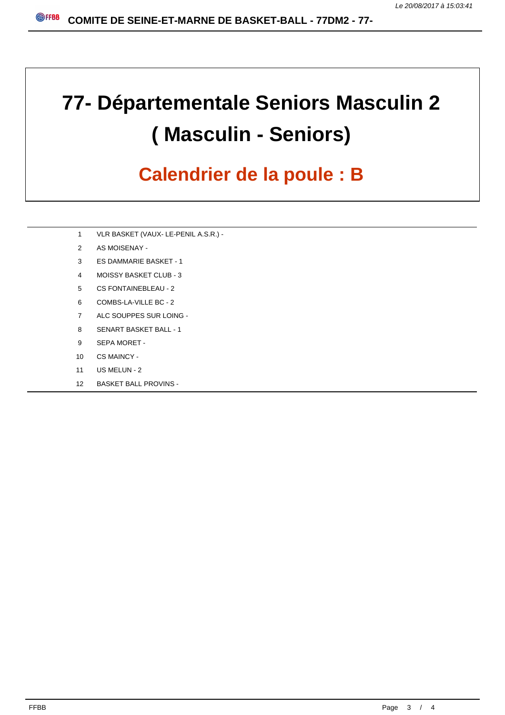# **77- Départementale Seniors Masculin 2 ( Masculin - Seniors)**

### **Calendrier de la poule : B**

- VLR BASKET (VAUX- LE-PENIL A.S.R.) -
- AS MOISENAY -
- ES DAMMARIE BASKET 1
- MOISSY BASKET CLUB 3
- CS FONTAINEBLEAU 2
- COMBS-LA-VILLE BC 2
- ALC SOUPPES SUR LOING -
- SENART BASKET BALL 1
- SEPA MORET -
- CS MAINCY -
- US MELUN 2
- BASKET BALL PROVINS -